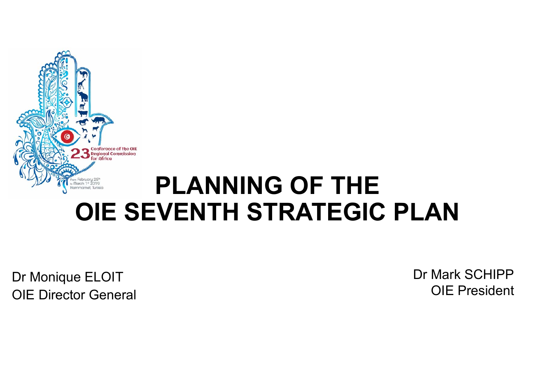

Dr Monique ELOIT OIE Director General Dr Mark SCHIPPOIE President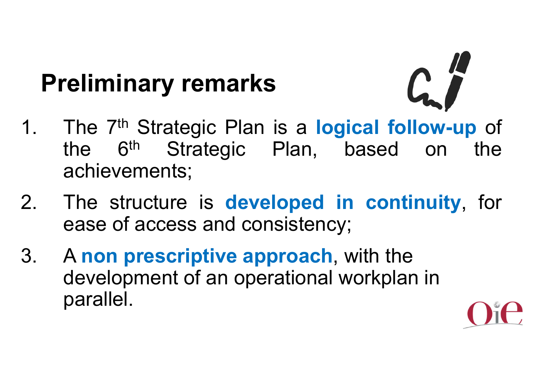# **Preliminary remarks**

- 1. The 7th Strategic Plan is <sup>a</sup> **logical follow-up** of the 6th Strategic Plan, based on the achievements;
- 2. The structure is **developed in continuity**, for ease of access and consistency;
- 3. A **non prescriptive approach**, with the development of an operational workplan in parallel.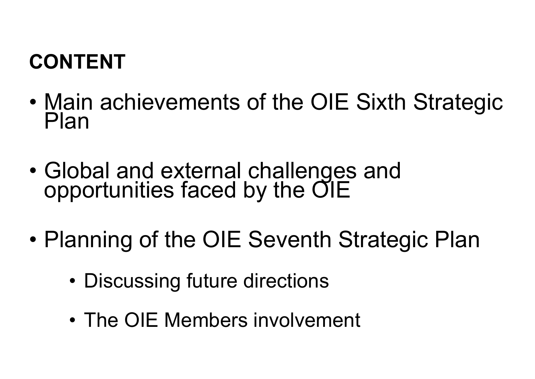#### **CONTENT**

- •Main achievements of the OIE Sixth Strategic<br>Plan
- Global and external challenges and opportunities faced by the OIE
- $\bullet$  Planning of the OIE Seventh Strategic Plan
	- •Discussing future directions
	- •The OIE Members involvement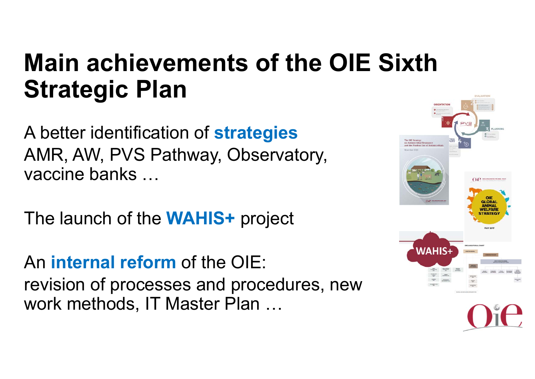## **Main achievements of the OIE Sixth Strategic Plan**

A better identification of **strategies** AMR, AW, PVS Pathway, Observatory, vaccine banks …

The launch of the **WAHIS+** project

An **internal reform** of the OIE: revision of processes and procedures, new work methods, IT Master Plan …

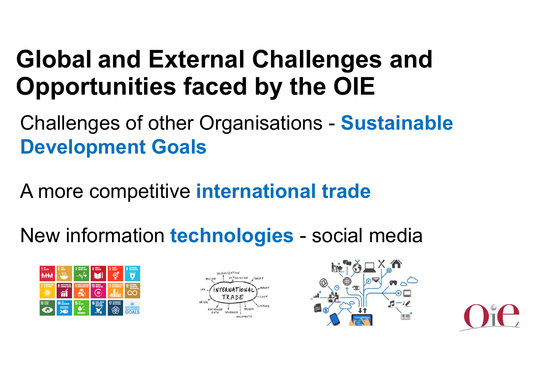## **Global and External Challenges and Opportunities faced by the OIE**

Challenges of other Organisations - **Sustainable Development Goals**

A more competitive **international trade**

New information **technologies** - social media

| $1 \text{mm}$ | 鵲<br>2          | <b>ROOM MAKIN</b>       | 4 <sup>mm</sup> | 農<br>5<br>⊟       | <b>CLINIANIE</b><br>6                                |
|---------------|-----------------|-------------------------|-----------------|-------------------|------------------------------------------------------|
| ATOMINE AVE   |                 | <b><i>NAME MAND</i></b> | 10 жила<br>=    | <b>SCATTABLE</b>  | <b>TOMA</b><br><b>CONCIDERED</b><br><b>ROYOUX</b> 10 |
| 13 음음         | 14 illustration | 15 <sub>km</sub><br>ū   |                 | 7 <b>INCHANGE</b> |                                                      |





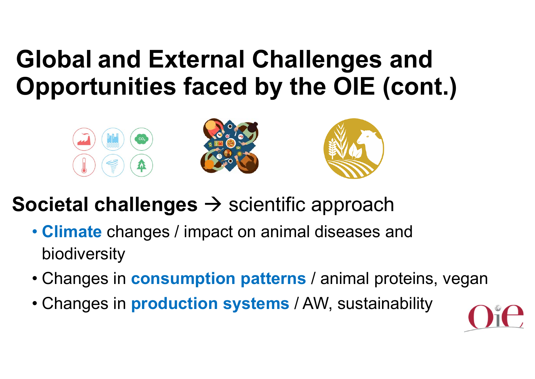## **Global and External Challenges and Opportunities faced by the OIE (cont.)**



- **Societal challenges →** scientific approach
	- **Climate** changes / impact on animal diseases and biodiversity
	- Changes in **consumption patterns** / animal proteins, vegan
	- Changes in **production systems** / AW, sustainability

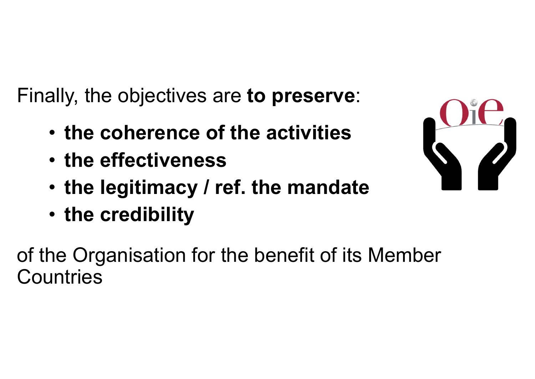Finally, the objectives are **to preserve**:

- **the coherence of the activities**
- **the effectiveness**
- •**the legitimacy / ref. the mandate**
- **the credibility**

of the Organisation for the benefit of its Member **Countries**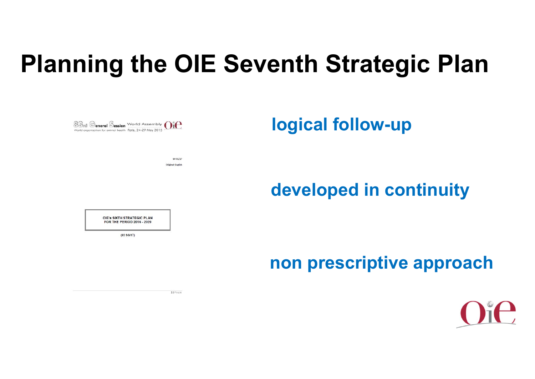## **Planning the OIE Seventh Strategic Plan**

**logical follow-up** 

**developed in continuity**

**non prescriptive approach**



33 mg General Session World Assembly  $\bigcap_{\mathcal{U}} P$ 

 $93.96 / 13$ Original: English

OIE's SIXTH STRATEGIC PLAN FOR THE PERIOD 2016 - 2020

 $(83 SGI/17)$ 

 $110000$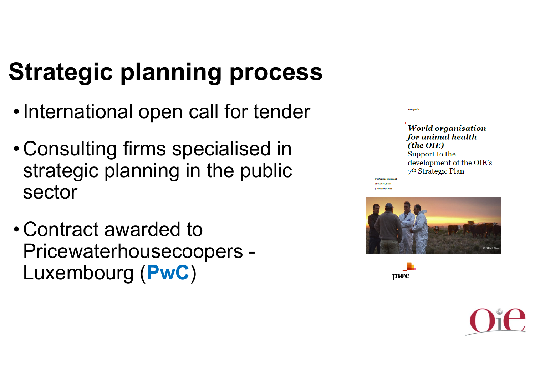# **Strategic planning process**

- •International open call for tender
- • Consulting firms specialised in strategic planning in the public sector
- • Contract awarded to Pricewaterhousecoopers - Luxembourg (**PwC**)

| <b>World organisation</b>      |
|--------------------------------|
| for animal health              |
| (the OIE)                      |
| Support to the                 |
| development of the OIE's       |
| 7 <sup>th</sup> Strategic Plan |



*Service Property* 

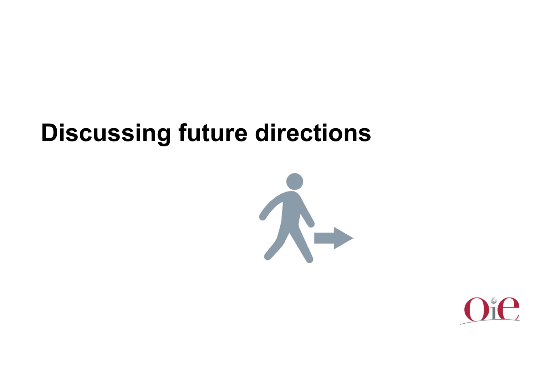## **Discussing future directions**



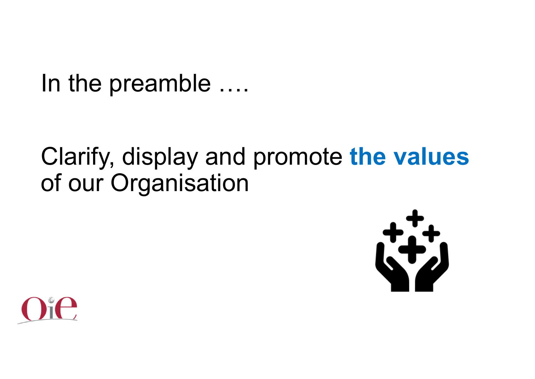In the preamble ….

### Clarify, display and promote **the values**  of our Organisation



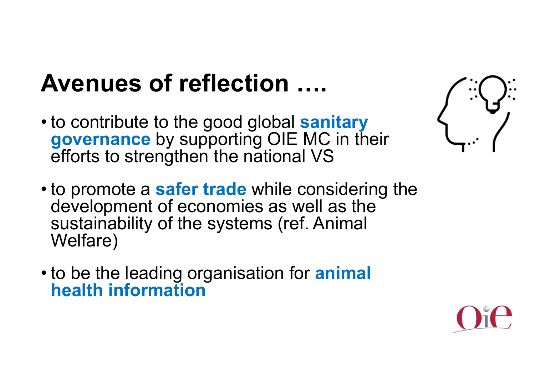# **Avenues of reflection ….**

- to contribute to the good global **sanitary governance** by supporting OIE MC in their efforts to strengthen the national VS
- to promote a **safer trade** while considering the development of economies as well as the sustainability of the systems (ref. Animal Welfare)
- to be the leading organisation for **animal health information**



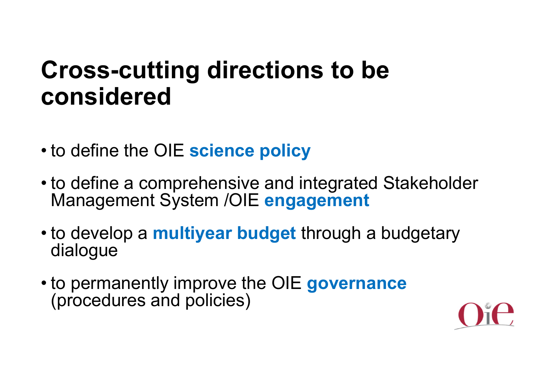## **Cross-cutting directions to be considered**

- to define the OIE **science policy**
- to define a comprehensive and integrated Stakeholder Management System /OIE **engagement**
- to develop a **multiyear budget** through a budgetary dialogue
- to permanently improve the OIE **governance** (procedures and policies)

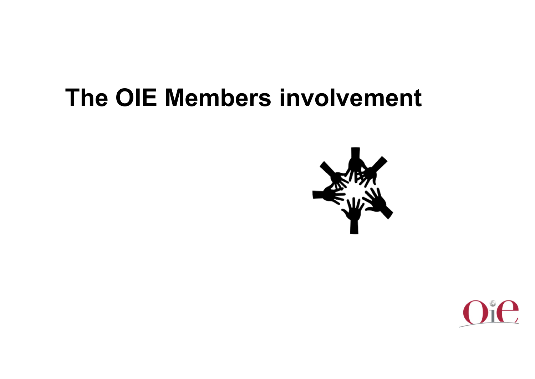### **The OIE Members involvement**



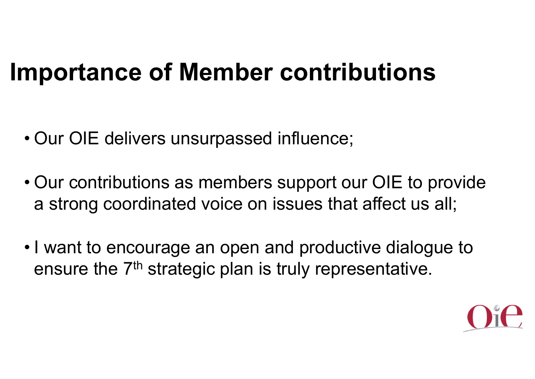## **Importance of Member contributions**

- Our OIE delivers unsurpassed influence;
- Our contributions as members support our OIE to provide a strong coordinated voice on issues that affect us all;
- I want to encourage an open and productive dialogue to ensure the 7<sup>th</sup> strategic plan is truly representative.

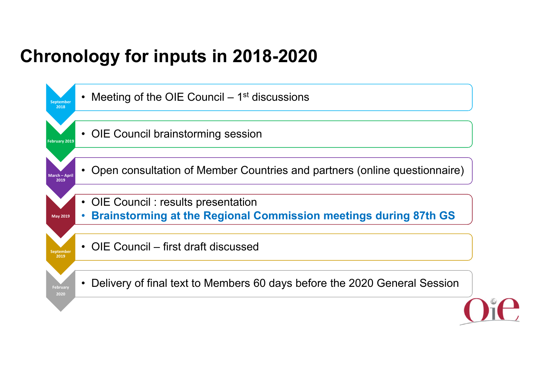#### **Chronology for inputs in 2018-2020**

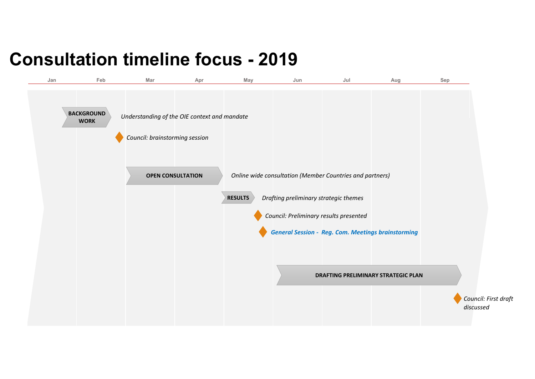#### **Consultation timeline focus - 2019**

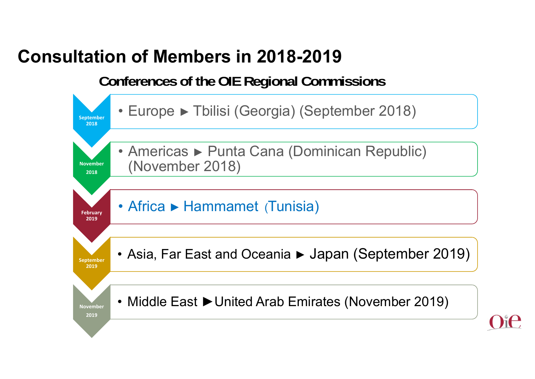#### **Consultation of Members in 2018-2019**

**Conferences of the OIE Regional Commissions**

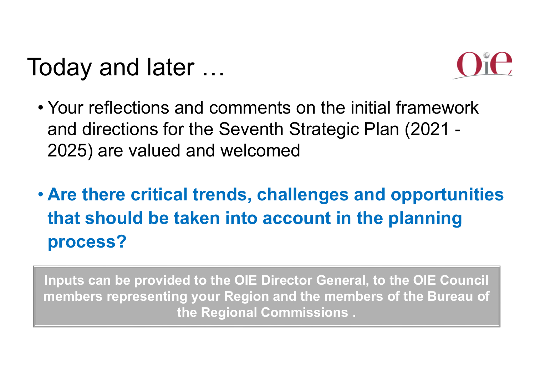# Today and later …



- Your reflections and comments on the initial framework and directions for the Seventh Strategic Plan (2021 - 2025) are valued and welcomed
- **Are there critical trends, challenges and opportunities that should be taken into account in the planning process?**

**Inputs can be provided to the OIE Director General, to the OIE Council members representing your Region and the members of the Bureau of the Regional Commissions .**